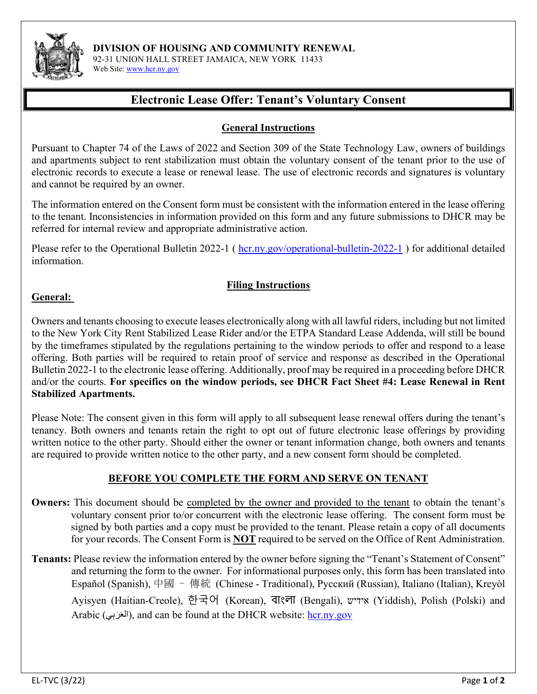

**DIVISION OF HOUSING AND COMMUNITY RENEWAL** 

92-31 UNION HALL STREET JAMAICA, NEW YORK 11433 Web Site: [www.hcr.ny.gov](about:blank)

# **Electronic Lease Offer: Tenant's Voluntary Consent**

## **General Instructions**

Pursuant to Chapter 74 of the Laws of 2022 and Section 309 of the State Technology Law, owners of buildings and apartments subject to rent stabilization must obtain the voluntary consent of the tenant prior to the use of electronic records to execute a lease or renewal lease. The use of electronic records and signatures is voluntary and cannot be required by an owner.

The information entered on the Consent form must be consistent with the information entered in the lease offering to the tenant. Inconsistencies in information provided on this form and any future submissions to DHCR may be referred for internal review and appropriate administrative action.

Please refer to the Operational Bulletin 2022-1 ( $\frac{hcr.ny.gov/operational-bulletin-2022-1}$  $\frac{hcr.ny.gov/operational-bulletin-2022-1}$  $\frac{hcr.ny.gov/operational-bulletin-2022-1}$ ) for additional detailed information.

## **Filing Instructions**

### **General:**

Owners and tenants choosing to execute leases electronically along with all lawful riders, including but not limited to the New York City Rent Stabilized Lease Rider and/or the ETPA Standard Lease Addenda, will still be bound by the timeframes stipulated by the regulations pertaining to the window periods to offer and respond to a lease offering. Both parties will be required to retain proof of service and response as described in the Operational Bulletin 2022-1 to the electronic lease offering. Additionally, proof may be required in a proceeding before DHCR and/or the courts. **For specifics on the window periods, see DHCR Fact Sheet #4: Lease Renewal in Rent Stabilized Apartments.** 

Please Note: The consent given in this form will apply to all subsequent lease renewal offers during the tenant's tenancy. Both owners and tenants retain the right to opt out of future electronic lease offerings by providing written notice to the other party. Should either the owner or tenant information change, both owners and tenants are required to provide written notice to the other party, and a new consent form should be completed.

### **BEFORE YOU COMPLETE THE FORM AND SERVE ON TENANT**

- **Owners:** This document should be completed by the owner and provided to the tenant to obtain the tenant's voluntary consent prior to/or concurrent with the electronic lease offering. The consent form must be signed by both parties and a copy must be provided to the tenant. Please retain a copy of all documents for your records. The Consent Form is **NOT** required to be served on the Office of Rent Administration.
- **Tenants:** Please review the information entered by the owner before signing the "Tenant's Statement of Consent" and returning the form to the owner. For informational purposes only, this form has been translated into Español (Spanish), 中國 - 傳統 (Chinese - Traditional), Русский (Russian), Italiano (Italian), Kreyòl Ayisyen (Haitian-Creole), 한국어 (Korean), বাংলা (Bengali), אידיש) Yiddish), Polish (Polski) and Arabic (العَرَبِي), and can be found at the DHCR website: <u>hcr.ny.gov</u>